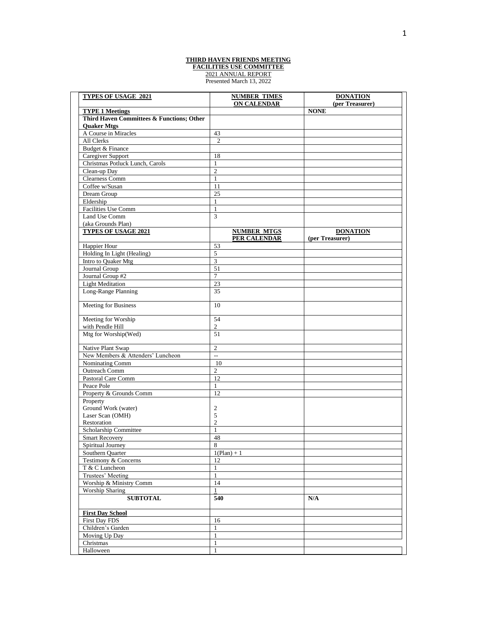## **THIRD HAVEN FRIENDS MEETING FACILITIES USE COMMITTEE** 2021 ANNUAL REPORT Presented March 13, 2022

| <b>TYPES OF USAGE 2021</b>                           | <b>NUMBER TIMES</b>      | <b>DONATION</b> |
|------------------------------------------------------|--------------------------|-----------------|
|                                                      | <b>ON CALENDAR</b>       | (per Treasurer) |
| <b>TYPE 1 Meetings</b>                               |                          | <b>NONE</b>     |
| Third Haven Committees & Functions; Other            |                          |                 |
| <b>Quaker Mtgs</b>                                   |                          |                 |
| A Course in Miracles                                 | 43                       |                 |
| All Clerks                                           | $\overline{2}$           |                 |
| Budget & Finance                                     |                          |                 |
| Caregiver Support<br>Christmas Potluck Lunch, Carols | 18<br>$\mathbf{1}$       |                 |
| Clean-up Day                                         | $\overline{2}$           |                 |
| Clearness Comm                                       | $\mathbf{1}$             |                 |
| Coffee w/Susan                                       | 11                       |                 |
| Dream Group                                          | 25                       |                 |
| Eldership                                            | 1                        |                 |
| Facilities Use Comm                                  | $\mathbf{1}$             |                 |
| Land Use Comm                                        | $\overline{3}$           |                 |
| (aka Grounds Plan)                                   |                          |                 |
| <b>TYPES OF USAGE 2021</b>                           | <b>NUMBER MTGS</b>       | <b>DONATION</b> |
|                                                      | <b>PER CALENDAR</b>      | (per Treasurer) |
| Happier Hour                                         | 53                       |                 |
| Holding In Light (Healing)                           | 5                        |                 |
| Intro to Quaker Mtg                                  | 3                        |                 |
| Journal Group                                        | 51                       |                 |
| Journal Group #2                                     | $\overline{7}$           |                 |
| <b>Light Meditation</b>                              | 23                       |                 |
| Long-Range Planning                                  | 35                       |                 |
| Meeting for Business                                 | 10                       |                 |
| Meeting for Worship                                  | 54                       |                 |
| with Pendle Hill                                     | $\boldsymbol{2}$         |                 |
| Mtg for Worship(Wed)                                 | 51                       |                 |
| Native Plant Swap                                    | $\overline{c}$           |                 |
| New Members & Attenders' Luncheon                    | $\overline{\phantom{a}}$ |                 |
| Nominating Comm                                      | 10                       |                 |
| <b>Outreach Comm</b>                                 | $\overline{2}$           |                 |
| Pastoral Care Comm                                   | 12                       |                 |
| Peace Pole                                           | $\mathbf{1}$             |                 |
| Property & Grounds Comm                              | 12                       |                 |
| Property                                             |                          |                 |
| Ground Work (water)                                  | 2                        |                 |
| Laser Scan (OMH)                                     | 5                        |                 |
| Restoration                                          | $\overline{2}$           |                 |
| Scholarship Committee                                | 1                        |                 |
| <b>Smart Recovery</b>                                | 48                       |                 |
| Spiritual Journey                                    | 8                        |                 |
| Southern Quarter                                     | $1(Plan) + 1$            |                 |
| Testimony & Concerns                                 | 12                       |                 |
| T & C Luncheon                                       | $\mathbf{1}$             |                 |
| Trustees' Meeting                                    | $\mathbf{1}$             |                 |
| Worship & Ministry Comm                              | 14                       |                 |
| <b>Worship Sharing</b>                               | $\mathbf{1}$             |                 |
| <b>SUBTOTAL</b>                                      | 540                      | N/A             |
| <b>First Day School</b>                              |                          |                 |
| First Day FDS                                        | 16                       |                 |
| Children's Garden                                    | $\mathbf{1}$             |                 |
| Moving Up Day                                        | $\mathbf{1}$             |                 |
| Christmas                                            | 1                        |                 |
| Halloween                                            | $\mathbf{1}$             |                 |